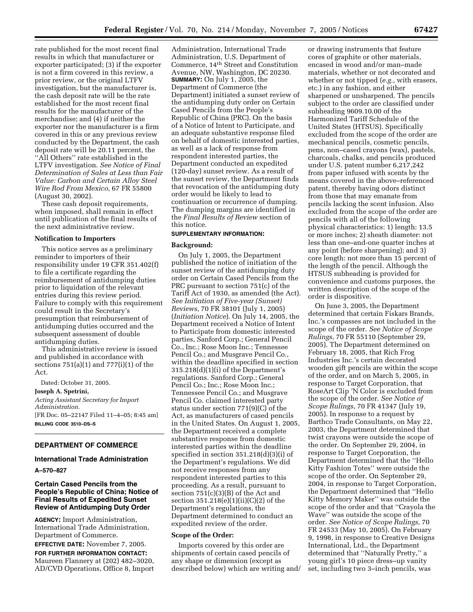rate published for the most recent final results in which that manufacturer or exporter participated; (3) if the exporter is not a firm covered in this review, a prior review, or the original LTFV investigation, but the manufacturer is, the cash deposit rate will be the rate established for the most recent final results for the manufacturer of the merchandise; and (4) if neither the exporter nor the manufacturer is a firm covered in this or any previous review conducted by the Department, the cash deposit rate will be 20.11 percent, the ''All Others'' rate established in the LTFV investigation. *See Notice of Final Determination of Sales at Less than Fair Value: Carbon and Certain Alloy Steel Wire Rod From Mexico*, 67 FR 55800 (August 30, 2002).

These cash deposit requirements, when imposed, shall remain in effect until publication of the final results of the next administrative review.

## **Notification to Importers**

This notice serves as a preliminary reminder to importers of their responsibility under 19 CFR 351.402(f) to file a certificate regarding the reimbursement of antidumping duties prior to liquidation of the relevant entries during this review period. Failure to comply with this requirement could result in the Secretary's presumption that reimbursement of antidumping duties occurred and the subsequent assessment of double antidumping duties.

This administrative review is issued and published in accordance with sections  $751(a)(1)$  and  $777(i)(1)$  of the Act.

Dated: October 31, 2005.

**Joseph A. Spetrini,**  *Acting Assistant Secretary for Import Administration.*  [FR Doc. 05–22147 Filed 11–4–05; 8:45 am] **BILLING CODE 3510–DS–S** 

# **DEPARTMENT OF COMMERCE**

## **International Trade Administration**

**A–570–827** 

# **Certain Cased Pencils from the People's Republic of China; Notice of Final Results of Expedited Sunset Review of Antidumping Duty Order**

**AGENCY:** Import Administration, International Trade Administration, Department of Commerce.

**EFFECTIVE DATE:** November 7, 2005.

**FOR FURTHER INFORMATION CONTACT:**  Maureen Flannery at (202) 482–3020, AD/CVD Operations, Office 8, Import

Administration, International Trade Administration, U.S. Department of Commerce, 14th Street and Constitution Avenue, NW, Washington, DC 20230. **SUMMARY:** On July 1, 2005, the Department of Commerce (the Department) initiated a sunset review of the antidumping duty order on Certain Cased Pencils from the People's Republic of China (PRC). On the basis of a Notice of Intent to Participate, and an adequate substantive response filed on behalf of domestic interested parties, as well as a lack of response from respondent interested parties, the Department conducted an expedited (120-day) sunset review. As a result of the sunset review, the Department finds that revocation of the antidumping duty order would be likely to lead to continuation or recurrence of dumping. The dumping margins are identified in the *Final Results of Review* section of this notice.

# **SUPPLEMENTARY INFORMATION:**

## **Background:**

On July 1, 2005, the Department published the notice of initiation of the sunset review of the antidumping duty order on Certain Cased Pencils from the PRC pursuant to section 751(c) of the Tariff Act of 1930, as amended (the Act). *See Initiation of Five-year (Sunset) Reviews*, 70 FR 38101 (July 1, 2005) (*Initiation Notice*). On July 14, 2005, the Department received a Notice of Intent to Participate from domestic interested parties, Sanford Corp.; General Pencil Co., Inc.; Rose Moon Inc.; Tennessee Pencil Co.; and Musgrave Pencil Co., within the deadline specified in section 315.218(d)(1)(i) of the Department's regulations. Sanford Corp.; General Pencil Co.; Inc.; Rose Moon Inc.; Tennessee Pencil Co.; and Musgrave Pencil Co. claimed interested party status under section 771(9)(C) of the Act, as manufacturers of cased pencils in the United States. On August 1, 2005, the Department received a complete substantive response from domestic interested parties within the deadline specified in section 351.218(d)(3)(i) of the Department's regulations. We did not receive responses from any respondent interested parties to this proceeding. As a result, pursuant to section 751(c)(3)(B) of the Act and section 351.218(e)(1)(ii)(C)(2) of the Department's regulations, the Department determined to conduct an expedited review of the order.

#### **Scope of the Order:**

Imports covered by this order are shipments of certain cased pencils of any shape or dimension (except as described below) which are writing and/

or drawing instruments that feature cores of graphite or other materials, encased in wood and/or man–made materials, whether or not decorated and whether or not tipped (*e.g.*, with erasers, etc.) in any fashion, and either sharpened or unsharpened. The pencils subject to the order are classified under subheading 9609.10.00 of the Harmonized Tariff Schedule of the United States (HTSUS). Specifically excluded from the scope of the order are mechanical pencils, cosmetic pencils, pens, non–cased crayons (wax), pastels, charcoals, chalks, and pencils produced under U.S. patent number 6,217,242 from paper infused with scents by the means covered in the above–referenced patent, thereby having odors distinct from those that may emanate from pencils lacking the scent infusion. Also excluded from the scope of the order are pencils with all of the following physical characteristics: 1) length: 13.5 or more inches; 2) sheath diameter: not less than one–and-one quarter inches at any point (before sharpening); and 3) core length: not more than 15 percent of the length of the pencil. Although the HTSUS subheading is provided for convenience and customs purposes, the written description of the scope of the order is dispositive.

On June 3, 2005, the Department determined that certain Fiskars Brands, Inc.'s compasses are not included in the scope of the order. *See Notice of Scope Rulings*, 70 FR 55110 (September 29, 2005). The Department determined on February 18, 2005, that Rich Frog Industries Inc.'s certain decorated wooden gift pencils are within the scope of the order, and on March 5, 2005, in response to Target Corporation, that RoseArt Clip 'N Color is excluded from the scope of the order. *See Notice of Scope Rulings*, 70 FR 41347 (July 19, 2005). In response to a request by Barthco Trade Consultants, on May 22, 2003, the Department determined that twist crayons were outside the scope of the order. On September 29, 2004, in response to Target Corporation, the Department determined that the ''Hello Kitty Fashion Totes'' were outside the scope of the order. On September 29, 2004, in response to Target Corporation, the Department determined that ''Hello Kitty Memory Maker'' was outside the scope of the order and that ''Crayola the Wave'' was outside the scope of the order. *See Notice of Scope Rulings*, 70 FR 24533 (May 10, 2005). On February 9, 1998, in response to Creative Designs International, Ltd., the Department determined that ''Naturally Pretty,'' a young girl's 10 piece dress–up vanity set, including two 3–inch pencils, was